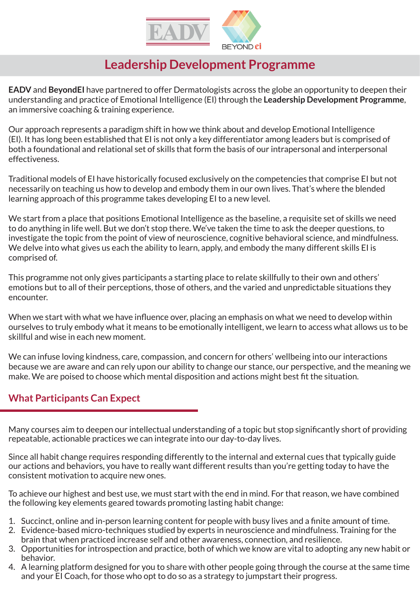

# **Leadership Development Programme**

**EADV** and **BeyondEI** have partnered to offer Dermatologists across the globe an opportunity to deepen their understanding and practice of Emotional Intelligence (EI) through the **Leadership Development Programme**, an immersive coaching & training experience.

Our approach represents a paradigm shift in how we think about and develop Emotional Intelligence (EI). It has long been established that EI is not only a key differentiator among leaders but is comprised of both a foundational and relational set of skills that form the basis of our intrapersonal and interpersonal effectiveness.

Traditional models of EI have historically focused exclusively on the competencies that comprise EI but not necessarily on teaching us how to develop and embody them in our own lives. That's where the blended learning approach of this programme takes developing EI to a new level.

We start from a place that positions Emotional Intelligence as the baseline, a requisite set of skills we need to do anything in life well. But we don't stop there. We've taken the time to ask the deeper questions, to investigate the topic from the point of view of neuroscience, cognitive behavioral science, and mindfulness. We delve into what gives us each the ability to learn, apply, and embody the many different skills EI is comprised of.

This programme not only gives participants a starting place to relate skillfully to their own and others' emotions but to all of their perceptions, those of others, and the varied and unpredictable situations they encounter.

When we start with what we have influence over, placing an emphasis on what we need to develop within ourselves to truly embody what it means to be emotionally intelligent, we learn to access what allows us to be skillful and wise in each new moment.

We can infuse loving kindness, care, compassion, and concern for others' wellbeing into our interactions because we are aware and can rely upon our ability to change our stance, our perspective, and the meaning we make. We are poised to choose which mental disposition and actions might best fit the situation.

### **What Participants Can Expect**

Many courses aim to deepen our intellectual understanding of a topic but stop significantly short of providing repeatable, actionable practices we can integrate into our day-to-day lives.

Since all habit change requires responding differently to the internal and external cues that typically guide our actions and behaviors, you have to really want different results than you're getting today to have the consistent motivation to acquire new ones.

To achieve our highest and best use, we must start with the end in mind. For that reason, we have combined the following key elements geared towards promoting lasting habit change:

- 1. Succinct, online and in-person learning content for people with busy lives and a finite amount of time.
- 2. Evidence-based micro-techniques studied by experts in neuroscience and mindfulness. Training for the brain that when practiced increase self and other awareness, connection, and resilience.
- 3. Opportunities for introspection and practice, both of which we know are vital to adopting any new habit or behavior.
- 4. A learning platform designed for you to share with other people going through the course at the same time and your EI Coach, for those who opt to do so as a strategy to jumpstart their progress.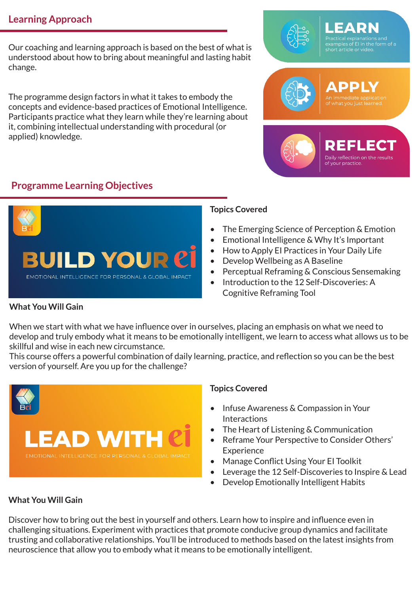### **Learning Approach**

Our coaching and learning approach is based on the best of what is understood about how to bring about meaningful and lasting habit change.

The programme design factors in what it takes to embody the concepts and evidence-based practices of Emotional Intelligence. Participants practice what they learn while they're learning about it, combining intellectual understanding with procedural (or applied) knowledge.

### **Programme Learning Objectives**



#### **Topics Covered**

- The Emerging Science of Perception & Emotion
- Emotional Intelligence & Why It's Important
- How to Apply EI Practices in Your Daily Life
- Develop Wellbeing as A Baseline
- Perceptual Reframing & Conscious Sensemaking
- Introduction to the 12 Self-Discoveries: A Cognitive Reframing Tool

#### **What You Will Gain**

When we start with what we have influence over in ourselves, placing an emphasis on what we need to develop and truly embody what it means to be emotionally intelligent, we learn to access what allows us to be skillful and wise in each new circumstance.

This course offers a powerful combination of daily learning, practice, and reflection so you can be the best version of yourself. Are you up for the challenge?



#### **Topics Covered**

- Infuse Awareness & Compassion in Your **Interactions**
- The Heart of Listening & Communication
- Reframe Your Perspective to Consider Others' Experience
- Manage Conflict Using Your EI Toolkit
- Leverage the 12 Self-Discoveries to Inspire & Lead
- Develop Emotionally Intelligent Habits

#### **What You Will Gain**

Discover how to bring out the best in yourself and others. Learn how to inspire and influence even in challenging situations. Experiment with practices that promote conducive group dynamics and facilitate trusting and collaborative relationships. You'll be introduced to methods based on the latest insights from neuroscience that allow you to embody what it means to be emotionally intelligent.

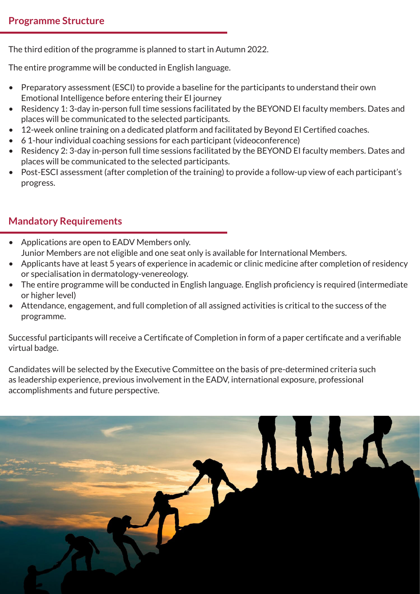The third edition of the programme is planned to start in Autumn 2022.

The entire programme will be conducted in English language.

- Preparatory assessment (ESCI) to provide a baseline for the participants to understand their own Emotional Intelligence before entering their EI journey
- Residency 1: 3-day in-person full time sessions facilitated by the BEYOND EI faculty members. Dates and places will be communicated to the selected participants.
- 12-week online training on a dedicated platform and facilitated by Beyond EI Certified coaches.
- 6 1-hour individual coaching sessions for each participant (videoconference)
- Residency 2: 3-day in-person full time sessions facilitated by the BEYOND EI faculty members. Dates and places will be communicated to the selected participants.
- Post-ESCI assessment (after completion of the training) to provide a follow-up view of each participant's progress.

## **Mandatory Requirements**

- Applications are open to EADV Members only. Junior Members are not eligible and one seat only is available for International Members.
- Applicants have at least 5 years of experience in academic or clinic medicine after completion of residency or specialisation in dermatology-venereology.
- The entire programme will be conducted in English language. English proficiency is required (intermediate or higher level)
- Attendance, engagement, and full completion of all assigned activities is critical to the success of the programme.

Successful participants will receive a Certificate of Completion in form of a paper certificate and a verifiable virtual badge.

Candidates will be selected by the Executive Committee on the basis of pre-determined criteria such as leadership experience, previous involvement in the EADV, international exposure, professional accomplishments and future perspective.